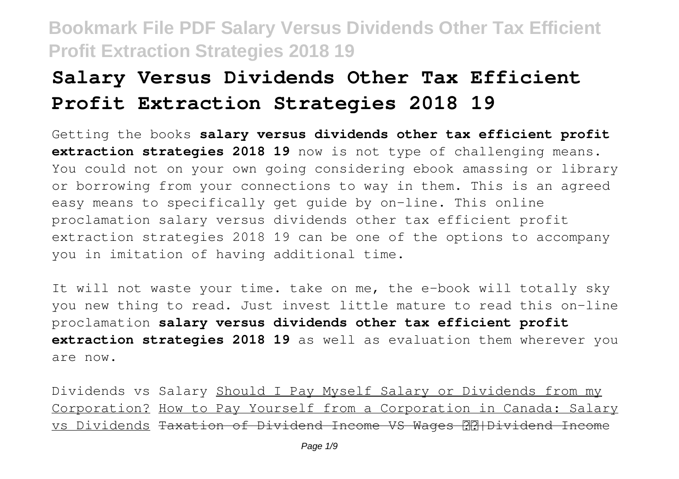# **Salary Versus Dividends Other Tax Efficient Profit Extraction Strategies 2018 19**

Getting the books **salary versus dividends other tax efficient profit extraction strategies 2018 19** now is not type of challenging means. You could not on your own going considering ebook amassing or library or borrowing from your connections to way in them. This is an agreed easy means to specifically get guide by on-line. This online proclamation salary versus dividends other tax efficient profit extraction strategies 2018 19 can be one of the options to accompany you in imitation of having additional time.

It will not waste your time. take on me, the e-book will totally sky you new thing to read. Just invest little mature to read this on-line proclamation **salary versus dividends other tax efficient profit extraction strategies 2018 19** as well as evaluation them wherever you are now.

Dividends vs Salary Should I Pay Myself Salary or Dividends from my Corporation? How to Pay Yourself from a Corporation in Canada: Salary vs Dividends Taxation of Dividend Income VS Wages **RRIDividend Income**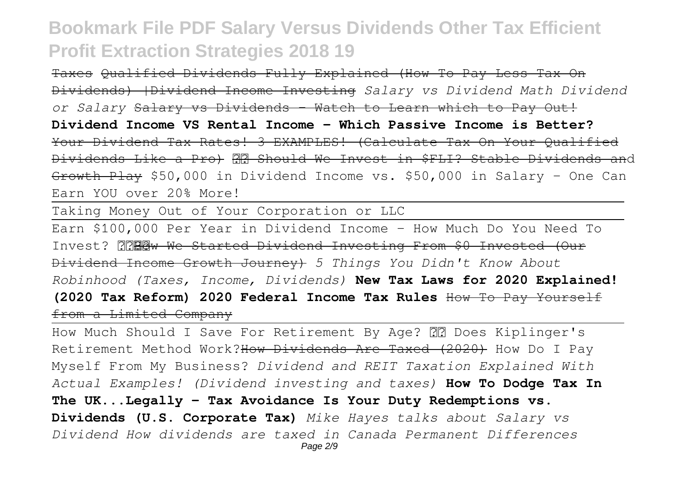Taxes Qualified Dividends Fully Explained (How To Pay Less Tax On Dividends) |Dividend Income Investing *Salary vs Dividend Math Dividend or Salary* Salary vs Dividends - Watch to Learn which to Pay Out! **Dividend Income VS Rental Income - Which Passive Income is Better?** Your Dividend Tax Rates! 3 EXAMPLES! (Calculate Tax On Your Qualified Dividends Like a Pro) Should We Invest in \$FLI? Stable Dividends and Growth Play \$50,000 in Dividend Income vs. \$50,000 in Salary - One Can Earn YOU over 20% More!

Taking Money Out of Your Corporation or LLC

Earn \$100,000 Per Year in Dividend Income - How Much Do You Need To Invest? MRRW We Started Dividend Investing From \$0 Invested (Our Dividend Income Growth Journey) *5 Things You Didn't Know About Robinhood (Taxes, Income, Dividends)* **New Tax Laws for 2020 Explained! (2020 Tax Reform) 2020 Federal Income Tax Rules** How To Pay Yourself from a Limited Company

How Much Should I Save For Retirement By Age? 22 Does Kiplinger's Retirement Method Work?How Dividends Are Taxed (2020) How Do I Pay Myself From My Business? *Dividend and REIT Taxation Explained With Actual Examples! (Dividend investing and taxes)* **How To Dodge Tax In The UK...Legally - Tax Avoidance Is Your Duty Redemptions vs. Dividends (U.S. Corporate Tax)** *Mike Hayes talks about Salary vs Dividend How dividends are taxed in Canada Permanent Differences* Page 2/9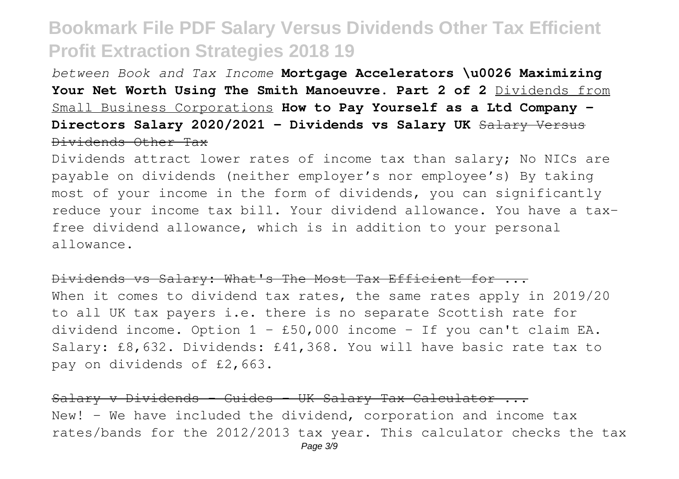*between Book and Tax Income* **Mortgage Accelerators \u0026 Maximizing** Your Net Worth Using The Smith Manoeuvre. Part 2 of 2 Dividends from Small Business Corporations **How to Pay Yourself as a Ltd Company - Directors Salary 2020/2021 - Dividends vs Salary UK** Salary Versus Dividends Other Tax

Dividends attract lower rates of income tax than salary; No NICs are payable on dividends (neither employer's nor employee's) By taking most of your income in the form of dividends, you can significantly reduce your income tax bill. Your dividend allowance. You have a taxfree dividend allowance, which is in addition to your personal allowance.

#### Dividends vs Salary: What's The Most Tax Efficient for ...

When it comes to dividend tax rates, the same rates apply in 2019/20 to all UK tax payers i.e. there is no separate Scottish rate for dividend income. Option  $1 - £50,000$  income - If you can't claim EA. Salary: £8,632. Dividends: £41,368. You will have basic rate tax to pay on dividends of £2,663.

Salary v Dividends - Guides - UK Salary Tax Calculator ... New! - We have included the dividend, corporation and income tax rates/bands for the 2012/2013 tax year. This calculator checks the tax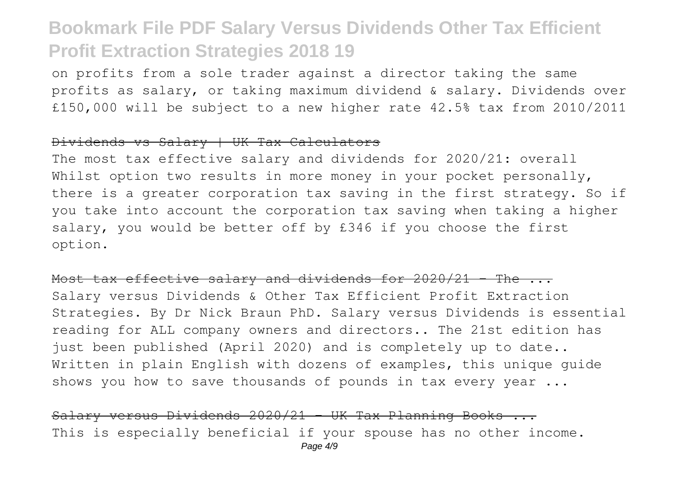on profits from a sole trader against a director taking the same profits as salary, or taking maximum dividend & salary. Dividends over £150,000 will be subject to a new higher rate 42.5% tax from 2010/2011

#### Dividends vs Salary | UK Tax Calculators

The most tax effective salary and dividends for 2020/21: overall Whilst option two results in more money in your pocket personally, there is a greater corporation tax saving in the first strategy. So if you take into account the corporation tax saving when taking a higher salary, you would be better off by £346 if you choose the first option.

#### Most tax effective salary and dividends for  $2020/21$  - The  $\ldots$

Salary versus Dividends & Other Tax Efficient Profit Extraction Strategies. By Dr Nick Braun PhD. Salary versus Dividends is essential reading for ALL company owners and directors.. The 21st edition has just been published (April 2020) and is completely up to date.. Written in plain English with dozens of examples, this unique guide shows you how to save thousands of pounds in tax every year ...

Salary versus Dividends  $2020/21$  - UK Tax Planning Books ... This is especially beneficial if your spouse has no other income.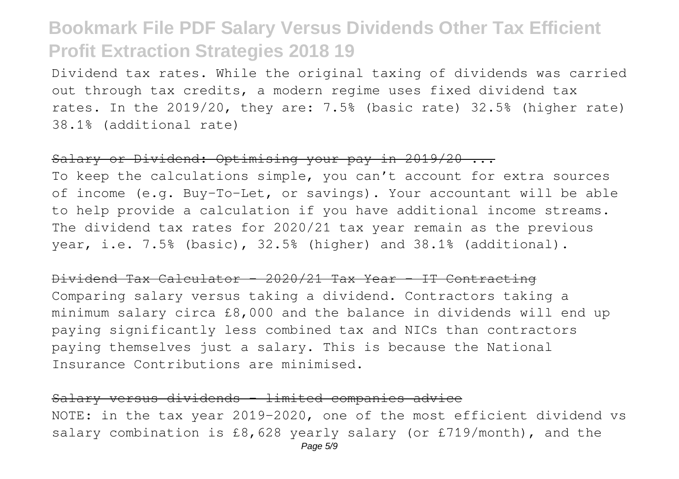Dividend tax rates. While the original taxing of dividends was carried out through tax credits, a modern regime uses fixed dividend tax rates. In the 2019/20, they are: 7.5% (basic rate) 32.5% (higher rate) 38.1% (additional rate)

#### Salary or Dividend: Optimising your pay in 2019/20 ...

To keep the calculations simple, you can't account for extra sources of income (e.g. Buy-To-Let, or savings). Your accountant will be able to help provide a calculation if you have additional income streams. The dividend tax rates for 2020/21 tax year remain as the previous year, i.e. 7.5% (basic), 32.5% (higher) and 38.1% (additional).

### Dividend Tax Calculator - 2020/21 Tax Year - IT Contracting

Comparing salary versus taking a dividend. Contractors taking a minimum salary circa £8,000 and the balance in dividends will end up paying significantly less combined tax and NICs than contractors paying themselves just a salary. This is because the National Insurance Contributions are minimised.

### Salary versus dividends – limited companies advice

NOTE: in the tax year 2019-2020, one of the most efficient dividend vs salary combination is £8,628 yearly salary (or £719/month), and the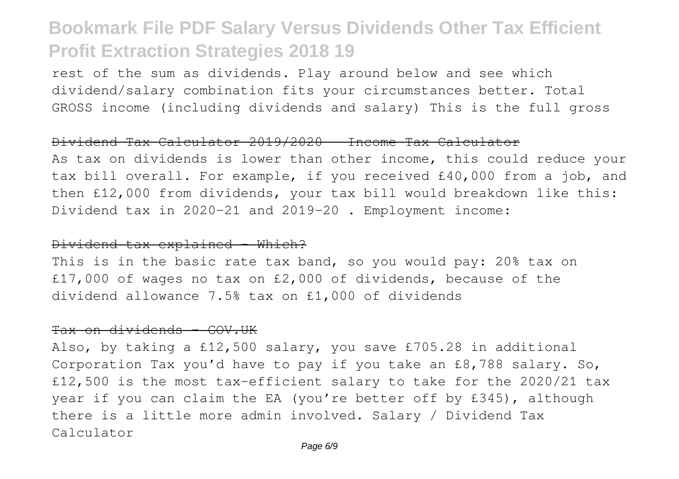rest of the sum as dividends. Play around below and see which dividend/salary combination fits your circumstances better. Total GROSS income (including dividends and salary) This is the full gross

#### Dividend Tax Calculator 2019/2020 - Income Tax Calculator

As tax on dividends is lower than other income, this could reduce your tax bill overall. For example, if you received £40,000 from a job, and then £12,000 from dividends, your tax bill would breakdown like this: Dividend tax in 2020-21 and 2019-20 . Employment income:

#### Dividend tax explained - Which?

This is in the basic rate tax band, so you would pay: 20% tax on £17,000 of wages no tax on £2,000 of dividends, because of the dividend allowance 7.5% tax on £1,000 of dividends

### Tax on dividends - GOV.UK

Also, by taking a £12,500 salary, you save £705.28 in additional Corporation Tax you'd have to pay if you take an £8,788 salary. So, £12,500 is the most tax-efficient salary to take for the 2020/21 tax year if you can claim the EA (you're better off by £345), although there is a little more admin involved. Salary / Dividend Tax Calculator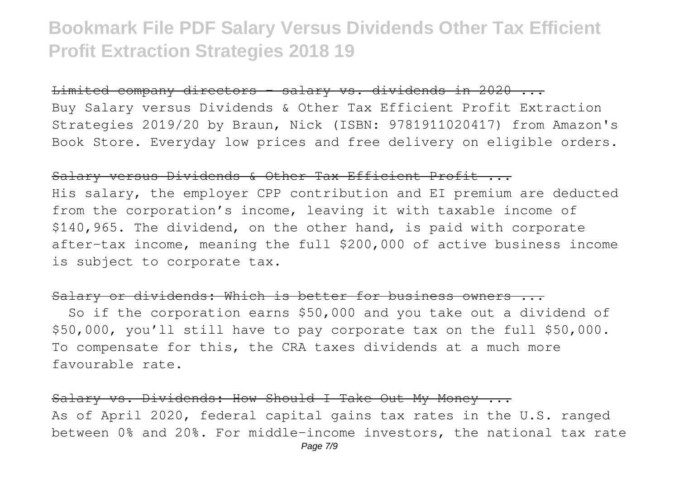Limited company directors - salary vs. dividends in 2020 ...

Buy Salary versus Dividends & Other Tax Efficient Profit Extraction Strategies 2019/20 by Braun, Nick (ISBN: 9781911020417) from Amazon's Book Store. Everyday low prices and free delivery on eligible orders.

#### Salary versus Dividends & Other Tax Efficient Profit ...

His salary, the employer CPP contribution and EI premium are deducted from the corporation's income, leaving it with taxable income of \$140,965. The dividend, on the other hand, is paid with corporate after-tax income, meaning the full \$200,000 of active business income is subject to corporate tax.

### Salary or dividends: Which is better for business owners ...

 So if the corporation earns \$50,000 and you take out a dividend of \$50,000, you'll still have to pay corporate tax on the full \$50,000. To compensate for this, the CRA taxes dividends at a much more favourable rate.

Salary vs. Dividends: How Should I Take Out My Money ... As of April 2020, federal capital gains tax rates in the U.S. ranged between 0% and 20%. For middle-income investors, the national tax rate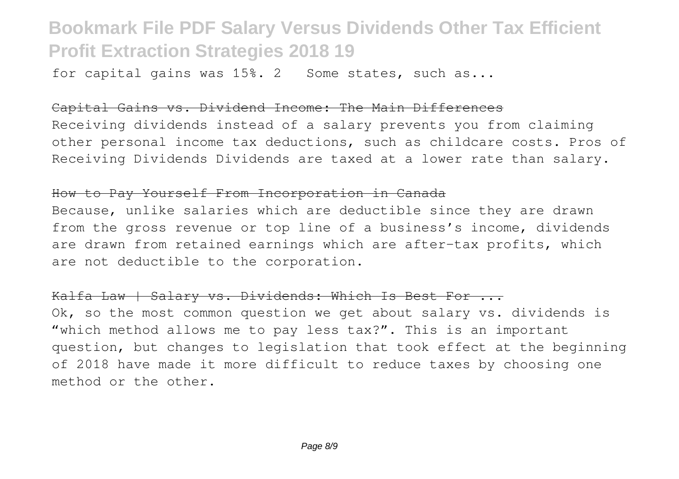for capital gains was 15%. 2 Some states, such as...

### Capital Gains vs. Dividend Income: The Main Differences

Receiving dividends instead of a salary prevents you from claiming other personal income tax deductions, such as childcare costs. Pros of Receiving Dividends Dividends are taxed at a lower rate than salary.

### How to Pay Yourself From Incorporation in Canada

Because, unlike salaries which are deductible since they are drawn from the gross revenue or top line of a business's income, dividends are drawn from retained earnings which are after-tax profits, which are not deductible to the corporation.

Kalfa Law | Salary vs. Dividends: Which Is Best For ... Ok, so the most common question we get about salary vs. dividends is "which method allows me to pay less tax?". This is an important question, but changes to legislation that took effect at the beginning of 2018 have made it more difficult to reduce taxes by choosing one method or the other.